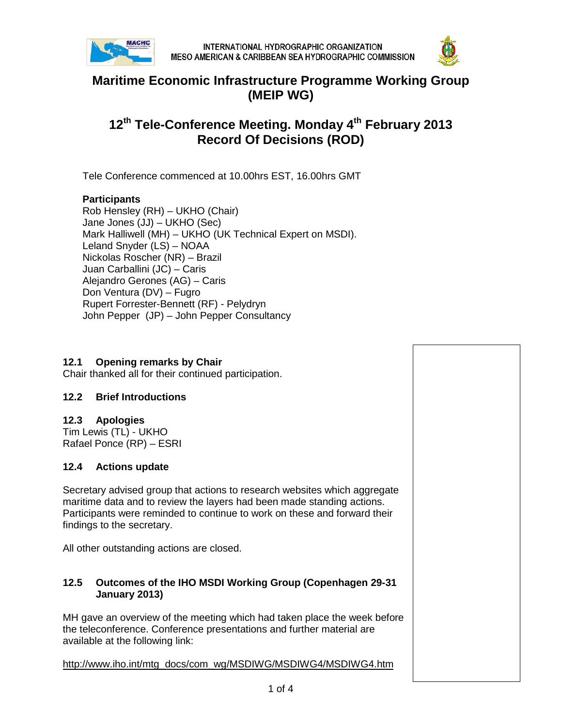



## **Maritime Economic Infrastructure Programme Working Group (MEIP WG)**

# **12th Tele-Conference Meeting. Monday 4th February 2013 Record Of Decisions (ROD)**

Tele Conference commenced at 10.00hrs EST, 16.00hrs GMT

### **Participants**

Rob Hensley (RH) – UKHO (Chair) Jane Jones (JJ) – UKHO (Sec) Mark Halliwell (MH) – UKHO (UK Technical Expert on MSDI). Leland Snyder (LS) – NOAA Nickolas Roscher (NR) – Brazil Juan Carballini (JC) – Caris Alejandro Gerones (AG) – Caris Don Ventura (DV) – Fugro Rupert Forrester-Bennett (RF) - Pelydryn John Pepper (JP) – John Pepper Consultancy

#### **12.1 Opening remarks by Chair**

Chair thanked all for their continued participation.

#### **12.2 Brief Introductions**

#### **12.3 Apologies**

Tim Lewis (TL) - UKHO Rafael Ponce (RP) – ESRI

#### **12.4 Actions update**

Secretary advised group that actions to research websites which aggregate maritime data and to review the layers had been made standing actions. Participants were reminded to continue to work on these and forward their findings to the secretary.

All other outstanding actions are closed.

#### **12.5 Outcomes of the IHO MSDI Working Group (Copenhagen 29-31 January 2013)**

MH gave an overview of the meeting which had taken place the week before the teleconference. Conference presentations and further material are available at the following link:

http://www.iho.int/mtg\_docs/com\_wg/MSDIWG/MSDIWG4/MSDIWG4.htm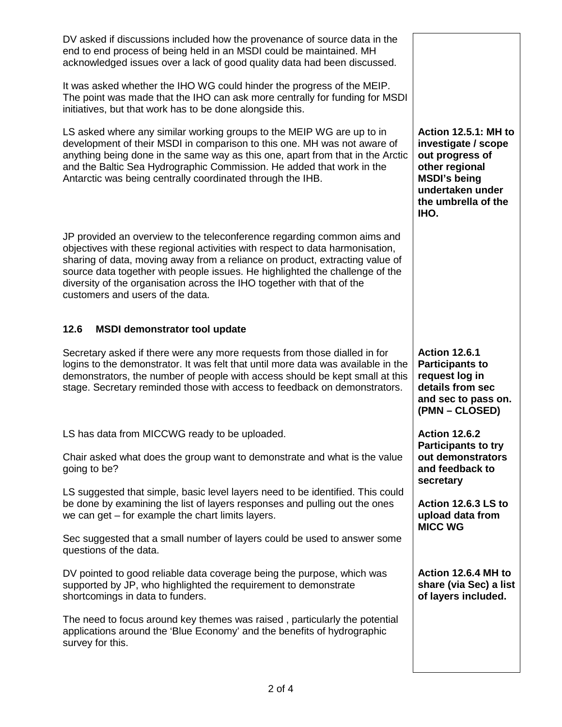| DV asked if discussions included how the provenance of source data in the<br>end to end process of being held in an MSDI could be maintained. MH<br>acknowledged issues over a lack of good quality data had been discussed.<br>It was asked whether the IHO WG could hinder the progress of the MEIP.<br>The point was made that the IHO can ask more centrally for funding for MSDI<br>initiatives, but that work has to be done alongside this.<br>LS asked where any similar working groups to the MEIP WG are up to in<br>development of their MSDI in comparison to this one. MH was not aware of<br>anything being done in the same way as this one, apart from that in the Arctic<br>and the Baltic Sea Hydrographic Commission. He added that work in the<br>Antarctic was being centrally coordinated through the IHB. | <b>Action 12.5.1: MH to</b><br>investigate / scope<br>out progress of<br>other regional<br><b>MSDI's being</b><br>undertaken under<br>the umbrella of the<br>IHO. |
|----------------------------------------------------------------------------------------------------------------------------------------------------------------------------------------------------------------------------------------------------------------------------------------------------------------------------------------------------------------------------------------------------------------------------------------------------------------------------------------------------------------------------------------------------------------------------------------------------------------------------------------------------------------------------------------------------------------------------------------------------------------------------------------------------------------------------------|-------------------------------------------------------------------------------------------------------------------------------------------------------------------|
| JP provided an overview to the teleconference regarding common aims and<br>objectives with these regional activities with respect to data harmonisation,<br>sharing of data, moving away from a reliance on product, extracting value of<br>source data together with people issues. He highlighted the challenge of the<br>diversity of the organisation across the IHO together with that of the<br>customers and users of the data.                                                                                                                                                                                                                                                                                                                                                                                           |                                                                                                                                                                   |
| 12.6<br><b>MSDI demonstrator tool update</b>                                                                                                                                                                                                                                                                                                                                                                                                                                                                                                                                                                                                                                                                                                                                                                                     |                                                                                                                                                                   |
| Secretary asked if there were any more requests from those dialled in for<br>logins to the demonstrator. It was felt that until more data was available in the                                                                                                                                                                                                                                                                                                                                                                                                                                                                                                                                                                                                                                                                   | <b>Action 12.6.1</b>                                                                                                                                              |
| demonstrators, the number of people with access should be kept small at this<br>stage. Secretary reminded those with access to feedback on demonstrators.                                                                                                                                                                                                                                                                                                                                                                                                                                                                                                                                                                                                                                                                        | <b>Participants to</b><br>request log in<br>details from sec<br>and sec to pass on.<br>(PMN – CLOSED)                                                             |
| LS has data from MICCWG ready to be uploaded.                                                                                                                                                                                                                                                                                                                                                                                                                                                                                                                                                                                                                                                                                                                                                                                    | <b>Action 12.6.2</b>                                                                                                                                              |
| Chair asked what does the group want to demonstrate and what is the value<br>going to be?                                                                                                                                                                                                                                                                                                                                                                                                                                                                                                                                                                                                                                                                                                                                        | <b>Participants to try</b><br>out demonstrators<br>and feedback to                                                                                                |
| LS suggested that simple, basic level layers need to be identified. This could<br>be done by examining the list of layers responses and pulling out the ones<br>we can get – for example the chart limits layers.                                                                                                                                                                                                                                                                                                                                                                                                                                                                                                                                                                                                                | secretary<br>Action 12.6.3 LS to<br>upload data from                                                                                                              |
| Sec suggested that a small number of layers could be used to answer some<br>questions of the data.                                                                                                                                                                                                                                                                                                                                                                                                                                                                                                                                                                                                                                                                                                                               | <b>MICC WG</b>                                                                                                                                                    |
| DV pointed to good reliable data coverage being the purpose, which was<br>supported by JP, who highlighted the requirement to demonstrate<br>shortcomings in data to funders.                                                                                                                                                                                                                                                                                                                                                                                                                                                                                                                                                                                                                                                    | Action 12.6.4 MH to<br>share (via Sec) a list<br>of layers included.                                                                                              |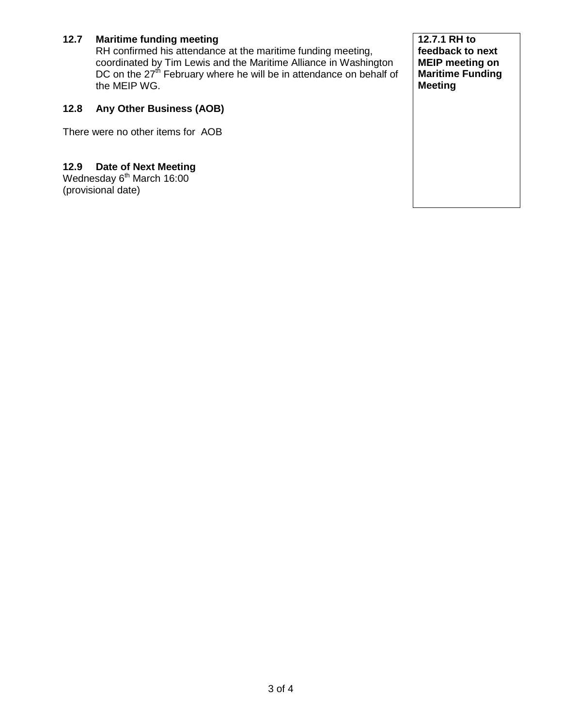## **12.7 Maritime funding meeting**

RH confirmed his attendance at the maritime funding meeting, coordinated by Tim Lewis and the Maritime Alliance in Washington DC on the 27<sup>th</sup> February where he will be in attendance on behalf of the MEIP WG.

## **12.8 Any Other Business (AOB)**

There were no other items for AOB

### **12.9 Date of Next Meeting**

Wednesday 6<sup>th</sup> March 16:00 (provisional date)

**12.7.1 RH to feedback to next MEIP meeting on Maritime Funding Meeting**